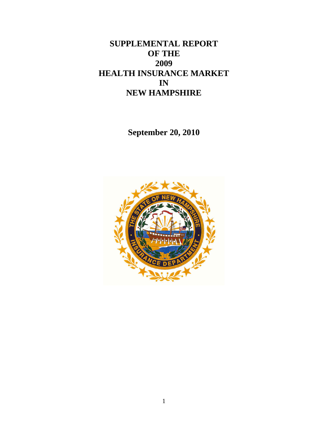# **SUPPLEMENTAL REPORT OF THE 2009 HEALTH INSURANCE MARKET IN NEW HAMPSHIRE**

**September 20, 2010** 

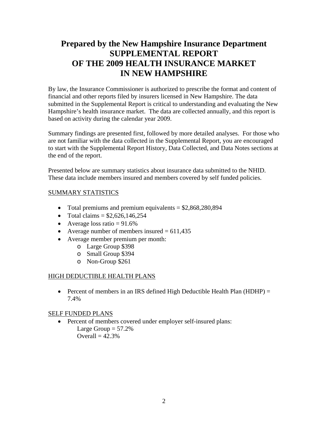# **Prepared by the New Hampshire Insurance Department SUPPLEMENTAL REPORT OF THE 2009 HEALTH INSURANCE MARKET IN NEW HAMPSHIRE**

By law, the Insurance Commissioner is authorized to prescribe the format and content of financial and other reports filed by insurers licensed in New Hampshire. The data submitted in the Supplemental Report is critical to understanding and evaluating the New Hampshire's health insurance market. The data are collected annually, and this report is based on activity during the calendar year 2009.

Summary findings are presented first, followed by more detailed analyses. For those who are not familiar with the data collected in the Supplemental Report, you are encouraged to start with the Supplemental Report History, Data Collected, and Data Notes sections at the end of the report.

Presented below are summary statistics about insurance data submitted to the NHID. These data include members insured and members covered by self funded policies.

# SUMMARY STATISTICS

- Total premiums and premium equivalents  $= $2,868,280,894$
- Total claims  $= $2.626, 146, 254$
- Average loss ratio  $= 91.6\%$
- Average number of members insured  $= 611,435$
- Average member premium per month:
	- o Large Group \$398
	- o Small Group \$394
	- o Non-Group \$261

#### HIGH DEDUCTIBLE HEALTH PLANS

• Percent of members in an IRS defined High Deductible Health Plan (HDHP) = 7.4%

# SELF FUNDED PLANS

• Percent of members covered under employer self-insured plans: Large Group  $= 57.2\%$ Overall  $= 42.3%$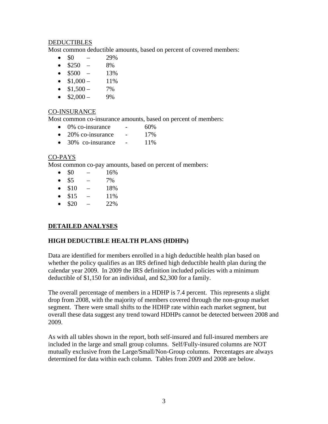#### **DEDUCTIBLES**

Most common deductible amounts, based on percent of covered members:

- $\bullet$  \$0 29%
- $\bullet$  \$250 8%
- $\bullet$  \$500 13%
- $\bullet$  \$1,000 11%
- $\bullet$  \$1,500 7%
- $\bullet$  \$2,000 9%

#### CO-INSURANCE

Most common co-insurance amounts, based on percent of members:

- $\bullet$  0% co-insurance  $\bullet$  60%
- $\bullet$  20% co-insurance 17%
- $\bullet$  30% co-insurance 11%

# CO-PAYS

Most common co-pay amounts, based on percent of members:

- $\bullet$  \$0 16%
- $\bullet$  \$5 7%
- $\bullet$  \$10 18%
- $\bullet$  \$15 11%
- $\bullet$  \$20 22%

# **DETAILED ANALYSES**

# **HIGH DEDUCTIBLE HEALTH PLANS (HDHPs)**

Data are identified for members enrolled in a high deductible health plan based on whether the policy qualifies as an IRS defined high deductible health plan during the calendar year 2009. In 2009 the IRS definition included policies with a minimum deductible of \$1,150 for an individual, and \$2,300 for a family.

The overall percentage of members in a HDHP is 7.4 percent. This represents a slight drop from 2008, with the majority of members covered through the non-group market segment. There were small shifts to the HDHP rate within each market segment, but overall these data suggest any trend toward HDHPs cannot be detected between 2008 and 2009.

As with all tables shown in the report, both self-insured and full-insured members are included in the large and small group columns. Self/Fully-insured columns are NOT mutually exclusive from the Large/Small/Non-Group columns. Percentages are always determined for data within each column. Tables from 2009 and 2008 are below.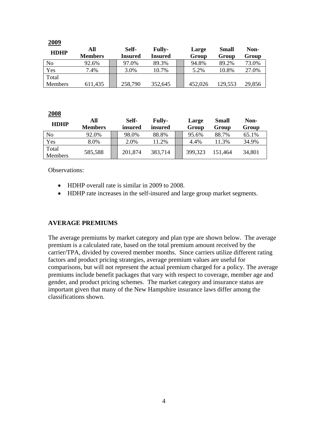| 2009           |                |         |                |         |         |        |
|----------------|----------------|---------|----------------|---------|---------|--------|
| <b>HDHP</b>    | All            | Self-   | <b>Fully-</b>  | Large   | Small   | Non-   |
|                | <b>Members</b> | Insured | <b>Insured</b> | Group   | Group   | Group  |
| N <sub>0</sub> | 92.6%          | 97.0%   | 89.3%          | 94.8%   | 89.2%   | 73.0%  |
| Yes            | 7.4%           | 3.0%    | 10.7%          | 5.2%    | 10.8%   | 27.0%  |
| Total          |                |         |                |         |         |        |
| Members        | 611,435        | 258,790 | 352,645        | 452,026 | 129,553 | 29,856 |

**2008**

| <b>HDHP</b>             | All            | Self-   | <b>Fully-</b> | Large   | <b>Small</b> | Non-   |
|-------------------------|----------------|---------|---------------|---------|--------------|--------|
|                         | <b>Members</b> | insured | insured       | Group   | Group        | Group  |
| No                      | 92.0%          | 98.0%   | 88.8%         | 95.6%   | 88.7%        | 65.1%  |
| Yes                     | 8.0%           | 2.0%    | 11.2%         | 4.4%    | 11.3%        | 34.9%  |
| Total<br><b>Members</b> | 585,588        | 201,874 | 383,714       | 399,323 | 151,464      | 34,801 |

Observations:

- HDHP overall rate is similar in 2009 to 2008.
- HDHP rate increases in the self-insured and large group market segments.

#### **AVERAGE PREMIUMS**

The average premiums by market category and plan type are shown below. The average premium is a calculated rate, based on the total premium amount received by the carrier/TPA, divided by covered member months. Since carriers utilize different rating factors and product pricing strategies, average premium values are useful for comparisons, but will not represent the actual premium charged for a policy. The average premiums include benefit packages that vary with respect to coverage, member age and gender, and product pricing schemes. The market category and insurance status are important given that many of the New Hampshire insurance laws differ among the classifications shown.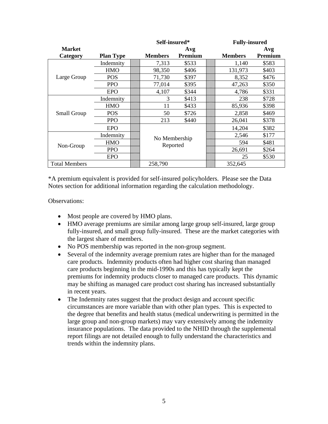|                      |                  |  | Self-insured*  |         |  | <b>Fully-insured</b> |         |
|----------------------|------------------|--|----------------|---------|--|----------------------|---------|
| <b>Market</b>        |                  |  |                | Avg     |  |                      | Avg     |
| Category             | <b>Plan Type</b> |  | <b>Members</b> | Premium |  | <b>Members</b>       | Premium |
|                      | Indemnity        |  | 7,313          | \$533   |  | 1,140                | \$583   |
|                      | <b>HMO</b>       |  | 98,350         | \$406   |  | 131,973              | \$403   |
| Large Group          | <b>POS</b>       |  | 71,730         | \$397   |  | 8,352                | \$476   |
|                      | <b>PPO</b>       |  | 77,014         | \$395   |  | 47,263               | \$350   |
|                      | <b>EPO</b>       |  | 4,107          | \$344   |  | 4,786                | \$331   |
|                      | Indemnity        |  | 3              | \$413   |  | 238                  | \$728   |
|                      | <b>HMO</b>       |  | 11             | \$433   |  | 85,936               | \$398   |
| Small Group          | <b>POS</b>       |  | 50             | \$726   |  | 2,858                | \$469   |
|                      | <b>PPO</b>       |  | 213            | \$440   |  | 26,041               | \$378   |
|                      | <b>EPO</b>       |  |                |         |  | 14,204               | \$382   |
|                      | Indemnity        |  | No Membership  |         |  | 2,546                | \$177   |
|                      | <b>HMO</b>       |  |                |         |  | 594                  | \$481   |
| Non-Group            | <b>PPO</b>       |  | Reported       |         |  | 26,691               | \$264   |
|                      | <b>EPO</b>       |  |                |         |  | 25                   | \$530   |
| <b>Total Members</b> |                  |  | 258,790        |         |  | 352,645              |         |

\*A premium equivalent is provided for self-insured policyholders. Please see the Data Notes section for additional information regarding the calculation methodology.

Observations:

- Most people are covered by HMO plans.
- HMO average premiums are similar among large group self-insured, large group fully-insured, and small group fully-insured. These are the market categories with the largest share of members.
- No POS membership was reported in the non-group segment.
- Several of the indemnity average premium rates are higher than for the managed care products. Indemnity products often had higher cost sharing than managed care products beginning in the mid-1990s and this has typically kept the premiums for indemnity products closer to managed care products. This dynamic may be shifting as managed care product cost sharing has increased substantially in recent years.
- The Indemnity rates suggest that the product design and account specific circumstances are more variable than with other plan types. This is expected to the degree that benefits and health status (medical underwriting is permitted in the large group and non-group markets) may vary extensively among the indemnity insurance populations. The data provided to the NHID through the supplemental report filings are not detailed enough to fully understand the characteristics and trends within the indemnity plans.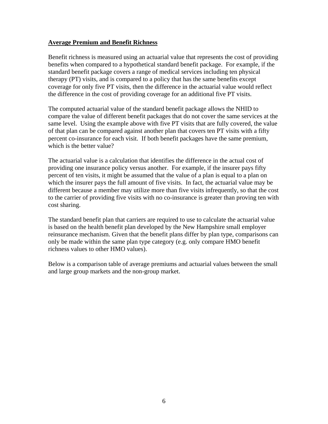#### **Average Premium and Benefit Richness**

Benefit richness is measured using an actuarial value that represents the cost of providing benefits when compared to a hypothetical standard benefit package. For example, if the standard benefit package covers a range of medical services including ten physical therapy (PT) visits, and is compared to a policy that has the same benefits except coverage for only five PT visits, then the difference in the actuarial value would reflect the difference in the cost of providing coverage for an additional five PT visits.

The computed actuarial value of the standard benefit package allows the NHID to compare the value of different benefit packages that do not cover the same services at the same level. Using the example above with five PT visits that are fully covered, the value of that plan can be compared against another plan that covers ten PT visits with a fifty percent co-insurance for each visit. If both benefit packages have the same premium, which is the better value?

The actuarial value is a calculation that identifies the difference in the actual cost of providing one insurance policy versus another. For example, if the insurer pays fifty percent of ten visits, it might be assumed that the value of a plan is equal to a plan on which the insurer pays the full amount of five visits. In fact, the actuarial value may be different because a member may utilize more than five visits infrequently, so that the cost to the carrier of providing five visits with no co-insurance is greater than proving ten with cost sharing.

The standard benefit plan that carriers are required to use to calculate the actuarial value is based on the health benefit plan developed by the New Hampshire small employer reinsurance mechanism. Given that the benefit plans differ by plan type, comparisons can only be made within the same plan type category (e.g. only compare HMO benefit richness values to other HMO values).

Below is a comparison table of average premiums and actuarial values between the small and large group markets and the non-group market.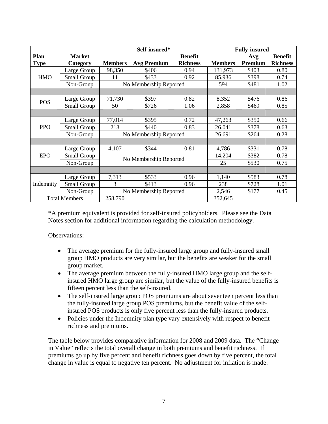|             |                      |                | Self-insured*          |                 | <b>Fully-insured</b> |         |                 |
|-------------|----------------------|----------------|------------------------|-----------------|----------------------|---------|-----------------|
| Plan        | <b>Market</b>        |                |                        | <b>Benefit</b>  |                      | Avg     | <b>Benefit</b>  |
| <b>Type</b> | Category             | <b>Members</b> | <b>Avg Premium</b>     | <b>Richness</b> | <b>Members</b>       | Premium | <b>Richness</b> |
|             | Large Group          | 98,350         | \$406                  | 0.94            | 131,973              | \$403   | 0.80            |
| <b>HMO</b>  | Small Group          | 11             | \$433                  | 0.92            | 85,936               | \$398   | 0.74            |
|             | Non-Group            |                | No Membership Reported |                 | 594                  | \$481   | 1.02            |
|             |                      |                |                        |                 |                      |         |                 |
| <b>POS</b>  | Large Group          | 71,730         | \$397                  | 0.82            | 8,352                | \$476   | 0.86            |
|             | Small Group          | 50             | \$726                  | 1.06            | 2,858                | \$469   | 0.85            |
|             |                      |                |                        |                 |                      |         |                 |
|             | Large Group          | 77,014         | \$395                  | 0.72            | 47,263               | \$350   | 0.66            |
| <b>PPO</b>  | Small Group          | 213            | \$440                  | 0.83            | 26,041               | \$378   | 0.63            |
|             | Non-Group            |                | No Membership Reported |                 | 26,691               | \$264   | 0.28            |
|             |                      |                |                        |                 |                      |         |                 |
|             | Large Group          | 4,107          | \$344                  | 0.81            | 4,786                | \$331   | 0.78            |
| <b>EPO</b>  | Small Group          |                | No Membership Reported |                 | 14,204               | \$382   | 0.78            |
|             | Non-Group            |                |                        |                 | 25                   | \$530   | 0.75            |
|             |                      |                |                        |                 |                      |         |                 |
|             | Large Group          | 7,313          | \$533                  | 0.96            | 1,140                | \$583   | 0.78            |
| Indemnity   | Small Group          | 3              | \$413                  | 0.96            | 238                  | \$728   | 1.01            |
|             | Non-Group            |                | No Membership Reported |                 |                      | \$177   | 0.45            |
|             | <b>Total Members</b> | 258,790        |                        |                 | 352,645              |         |                 |

\*A premium equivalent is provided for self-insured policyholders. Please see the Data Notes section for additional information regarding the calculation methodology.

Observations:

- The average premium for the fully-insured large group and fully-insured small group HMO products are very similar, but the benefits are weaker for the small group market.
- The average premium between the fully-insured HMO large group and the selfinsured HMO large group are similar, but the value of the fully-insured benefits is fifteen percent less than the self-insured.
- The self-insured large group POS premiums are about seventeen percent less than the fully-insured large group POS premiums, but the benefit value of the selfinsured POS products is only five percent less than the fully-insured products.
- Policies under the Indemnity plan type vary extensively with respect to benefit richness and premiums.

The table below provides comparative information for 2008 and 2009 data. The "Change in Value" reflects the total overall change in both premiums and benefit richness. If premiums go up by five percent and benefit richness goes down by five percent, the total change in value is equal to negative ten percent. No adjustment for inflation is made.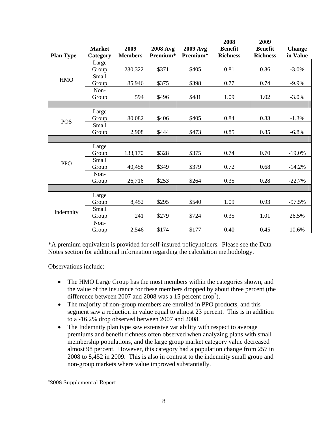|                  |               |                |                 |          | 2008            | 2009            |               |
|------------------|---------------|----------------|-----------------|----------|-----------------|-----------------|---------------|
|                  | <b>Market</b> | 2009           | <b>2008 Avg</b> | 2009 Avg | <b>Benefit</b>  | <b>Benefit</b>  | <b>Change</b> |
| <b>Plan Type</b> | Category      | <b>Members</b> | Premium*        | Premium* | <b>Richness</b> | <b>Richness</b> | in Value      |
|                  | Large         |                |                 |          |                 |                 |               |
|                  | Group         | 230,322        | \$371           | \$405    | 0.81            | 0.86            | $-3.0\%$      |
| <b>HMO</b>       | Small         |                |                 |          |                 |                 |               |
|                  | Group         | 85,946         | \$375           | \$398    | 0.77            | 0.74            | $-9.9\%$      |
|                  | Non-          |                |                 |          |                 |                 |               |
|                  | Group         | 594            | \$496           | \$481    | 1.09            | 1.02            | $-3.0\%$      |
|                  |               |                |                 |          |                 |                 |               |
|                  | Large         |                |                 |          |                 |                 |               |
| <b>POS</b>       | Group         | 80,082         | \$406           | \$405    | 0.84            | 0.83            | $-1.3%$       |
|                  | Small         |                |                 |          |                 |                 |               |
|                  | Group         | 2,908          | \$444           | \$473    | 0.85            | 0.85            | $-6.8%$       |
|                  |               |                |                 |          |                 |                 |               |
|                  | Large         |                |                 |          |                 |                 |               |
|                  | Group         | 133,170        | \$328           | \$375    | 0.74            | 0.70            | $-19.0%$      |
| <b>PPO</b>       | Small         |                |                 |          |                 |                 |               |
|                  | Group         | 40,458         | \$349           | \$379    | 0.72            | 0.68            | $-14.2%$      |
|                  | Non-          |                |                 |          |                 |                 |               |
|                  | Group         | 26,716         | \$253           | \$264    | 0.35            | 0.28            | $-22.7%$      |
|                  |               |                |                 |          |                 |                 |               |
|                  | Large         |                |                 |          |                 |                 |               |
|                  | Group         | 8,452          | \$295           | \$540    | 1.09            | 0.93            | $-97.5%$      |
| Indemnity        | Small         |                |                 |          |                 |                 |               |
|                  | Group         | 241            | \$279           | \$724    | 0.35            | 1.01            | 26.5%         |
|                  | Non-          |                |                 |          |                 |                 |               |
|                  | Group         | 2,546          | \$174           | \$177    | 0.40            | 0.45            | 10.6%         |

\*A premium equivalent is provided for self-insured policyholders. Please see the Data Notes section for additional information regarding the calculation methodology.

Observations include:

- The HMO Large Group has the most members within the categories shown, and the value of the insurance for these members dropped by about three percent (the difference between 2007 and 2008 was a 15 percent drop<sup>\*</sup>).
- The majority of non-group members are enrolled in PPO products, and this segment saw a reduction in value equal to almost 23 percent. This is in addition to a -16.2% drop observed between 2007 and 2008.
- The Indemnity plan type saw extensive variability with respect to average premiums and benefit richness often observed when analyzing plans with small membership populations, and the large group market category value decreased almost 98 percent. However, this category had a population change from 257 in 2008 to 8,452 in 2009. This is also in contrast to the indemnity small group and non-group markets where value improved substantially.

 $\overline{a}$ 

<sup>\*2008</sup> Supplemental Report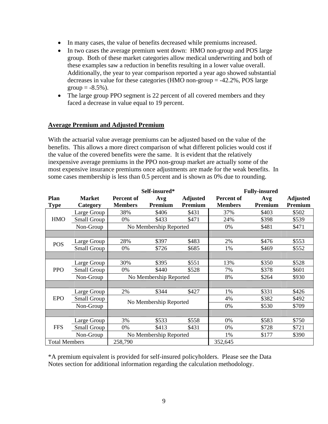- In many cases, the value of benefits decreased while premiums increased.
- In two cases the average premium went down: HMO non-group and POS large group. Both of these market categories allow medical underwriting and both of these examples saw a reduction in benefits resulting in a lower value overall. Additionally, the year to year comparison reported a year ago showed substantial decreases in value for these categories (HMO non-group = -42.2%, POS large group  $= -8.5\%$ ).
- The large group PPO segment is 22 percent of all covered members and they faced a decrease in value equal to 19 percent.

### **Average Premium and Adjusted Premium**

With the actuarial value average premiums can be adjusted based on the value of the benefits. This allows a more direct comparison of what different policies would cost if the value of the covered benefits were the same. It is evident that the relatively inexpensive average premiums in the PPO non-group market are actually some of the most expensive insurance premiums once adjustments are made for the weak benefits. In some cases membership is less than 0.5 percent and is shown as 0% due to rounding.

|                      |                    |                | Self-insured*          |                 | <b>Fully-insured</b> |         |                 |  |
|----------------------|--------------------|----------------|------------------------|-----------------|----------------------|---------|-----------------|--|
| Plan                 | <b>Market</b>      | Percent of     | Avg                    | <b>Adjusted</b> | Percent of           | Avg     | <b>Adjusted</b> |  |
| <b>Type</b>          | Category           | <b>Members</b> | Premium                | Premium         | <b>Members</b>       | Premium | Premium         |  |
|                      | Large Group        | 38%            | \$406                  | \$431           | 37%                  | \$403   | \$502           |  |
| <b>HMO</b>           | <b>Small Group</b> | 0%             | \$433                  | \$471           | 24%                  | \$398   | \$539           |  |
|                      | Non-Group          |                | No Membership Reported |                 | 0%                   | \$481   | \$471           |  |
|                      |                    |                |                        |                 |                      |         |                 |  |
| <b>POS</b>           | Large Group        | 28%            | \$397                  | \$483           | 2%                   | \$476   | \$553           |  |
|                      | Small Group        | 0%             | \$726                  | \$685           | 1%                   | \$469   | \$552           |  |
|                      |                    |                |                        |                 |                      |         |                 |  |
|                      | Large Group        | 30%            | \$395                  | \$551           | 13%                  | \$350   | \$528           |  |
| <b>PPO</b>           | Small Group        | 0%             | \$440                  | \$528           | 7%                   | \$378   | \$601           |  |
|                      | Non-Group          |                | No Membership Reported |                 | 8%                   | \$264   | \$930           |  |
|                      |                    |                |                        |                 |                      |         |                 |  |
|                      | Large Group        | 2%             | \$344                  | \$427           | 1%                   | \$331   | \$426           |  |
| <b>EPO</b>           | Small Group        |                |                        |                 | 4%                   | \$382   | \$492           |  |
|                      | Non-Group          |                | No Membership Reported |                 | 0%                   | \$530   | \$709           |  |
|                      |                    |                |                        |                 |                      |         |                 |  |
|                      | Large Group        | 3%             | \$533                  | \$558           | 0%                   | \$583   | \$750           |  |
| <b>FFS</b>           | Small Group        | 0%             | \$413                  | \$431           | 0%                   | \$728   | \$721           |  |
|                      | Non-Group          |                | No Membership Reported |                 | 1%                   | \$177   | \$390           |  |
| <b>Total Members</b> |                    | 258,790        |                        |                 | 352,645              |         |                 |  |

\*A premium equivalent is provided for self-insured policyholders. Please see the Data Notes section for additional information regarding the calculation methodology.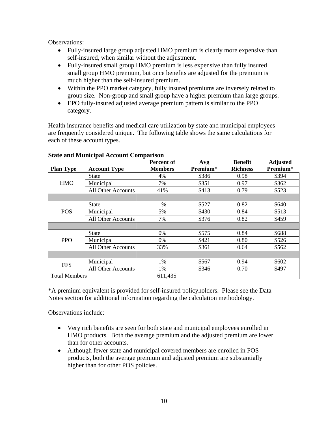Observations:

- Fully-insured large group adjusted HMO premium is clearly more expensive than self-insured, when similar without the adjustment.
- Fully-insured small group HMO premium is less expensive than fully insured small group HMO premium, but once benefits are adjusted for the premium is much higher than the self-insured premium.
- Within the PPO market category, fully insured premiums are inversely related to group size. Non-group and small group have a higher premium than large groups.
- EPO fully-insured adjusted average premium pattern is similar to the PPO category.

Health insurance benefits and medical care utilization by state and municipal employees are frequently considered unique. The following table shows the same calculations for each of these account types.

|                      |                           | Percent of     | Avg      | <b>Benefit</b>  | <b>Adjusted</b> |
|----------------------|---------------------------|----------------|----------|-----------------|-----------------|
| <b>Plan Type</b>     | <b>Account Type</b>       | <b>Members</b> | Premium* | <b>Richness</b> | Premium*        |
|                      | State                     | 4%             | \$386    | 0.98            | \$394           |
| <b>HMO</b>           | Municipal                 | 7%             | \$351    | 0.97            | \$362           |
|                      | <b>All Other Accounts</b> | 41%            | \$413    | 0.79            | \$523           |
|                      |                           |                |          |                 |                 |
|                      | State                     | 1%             | \$527    | 0.82            | \$640           |
| <b>POS</b>           | Municipal                 | 5%             | \$430    | 0.84            | \$513           |
|                      | <b>All Other Accounts</b> | 7%             | \$376    | 0.82            | \$459           |
|                      |                           |                |          |                 |                 |
|                      | State                     | $0\%$          | \$575    | 0.84            | \$688           |
| <b>PPO</b>           | Municipal                 | 0%             | \$421    | 0.80            | \$526           |
|                      | All Other Accounts        | 33%            | \$361    | 0.64            | \$562           |
|                      |                           |                |          |                 |                 |
| <b>FFS</b>           | Municipal                 | 1%             | \$567    | 0.94            | \$602           |
|                      | All Other Accounts        | 1%             | \$346    | 0.70            | \$497           |
| <b>Total Members</b> |                           | 611,435        |          |                 |                 |

# **State and Municipal Account Comparison**

\*A premium equivalent is provided for self-insured policyholders. Please see the Data Notes section for additional information regarding the calculation methodology.

Observations include:

- Very rich benefits are seen for both state and municipal employees enrolled in HMO products. Both the average premium and the adjusted premium are lower than for other accounts.
- Although fewer state and municipal covered members are enrolled in POS products, both the average premium and adjusted premium are substantially higher than for other POS policies.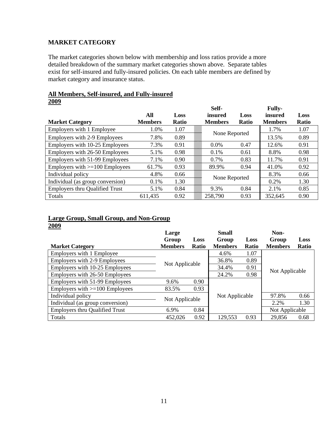# **MARKET CATEGORY**

The market categories shown below with membership and loss ratios provide a more detailed breakdown of the summary market categories shown above. Separate tables exist for self-insured and fully-insured policies. On each table members are defined by market category and insurance status.

#### **All Members, Self-insured, and Fully-insured 2009**

|                                       |                |              | Self-          |              | <b>Fully-</b>  |              |
|---------------------------------------|----------------|--------------|----------------|--------------|----------------|--------------|
|                                       | All            | Loss         | insured        | Loss         | insured        | Loss         |
| <b>Market Category</b>                | <b>Members</b> | <b>Ratio</b> | <b>Members</b> | <b>Ratio</b> | <b>Members</b> | <b>Ratio</b> |
| Employers with 1 Employee             | 1.0%           | 1.07         |                |              | 1.7%           | 1.07         |
| <b>Employers with 2-9 Employees</b>   | 7.8%           | 0.89         | None Reported  |              | 13.5%          | 0.89         |
| Employers with 10-25 Employees        | 7.3%           | 0.91         | 0.0%           | 0.47         | 12.6%          | 0.91         |
| Employers with 26-50 Employees        | 5.1%           | 0.98         | 0.1%           | 0.61         | 8.8%           | 0.98         |
| Employers with 51-99 Employees        | 7.1%           | 0.90         | 0.7%           | 0.83         | 11.7%          | 0.91         |
| Employers with $>=100$ Employees      | 61.7%          | 0.93         | 89.9%          | 0.94         | 41.0%          | 0.92         |
| Individual policy                     | 4.8%           | 0.66         |                |              | 8.3%           | 0.66         |
| Individual (as group conversion)      | 0.1%           | 1.30         | None Reported  |              | $0.2\%$        | 1.30         |
| <b>Employers thru Qualified Trust</b> | 5.1%           | 0.84         | 9.3%           | 0.84         | 2.1%           | 0.85         |
| Totals                                | 611,435        | 0.92         | 258,790        | 0.93         | 352,645        | 0.90         |

# **Large Group, Small Group, and Non-Group 2009**

|                                       | Large          |       | <b>Small</b>   |              | Non-           |       |
|---------------------------------------|----------------|-------|----------------|--------------|----------------|-------|
|                                       | Group          | Loss  | Group          | Loss         | Group          | Loss  |
| <b>Market Category</b>                | <b>Members</b> | Ratio | <b>Members</b> | <b>Ratio</b> | <b>Members</b> | Ratio |
| Employers with 1 Employee             |                |       | 4.6%           | 1.07         |                |       |
| Employers with 2-9 Employees          | Not Applicable |       | 36.8%          | 0.89         |                |       |
| Employers with 10-25 Employees        |                |       | 34.4%          | 0.91         | Not Applicable |       |
| Employers with 26-50 Employees        |                |       | 24.2%          | 0.98         |                |       |
| Employers with 51-99 Employees        | 9.6%           | 0.90  |                |              |                |       |
| Employers with $>=100$ Employees      | 83.5%          | 0.93  |                |              |                |       |
| Individual policy                     |                |       | Not Applicable |              | 97.8%          | 0.66  |
| Individual (as group conversion)      | Not Applicable |       |                |              | 2.2%           | 1.30  |
| <b>Employers thru Qualified Trust</b> | 6.9%           | 0.84  |                |              | Not Applicable |       |
| Totals                                | 452,026        | 0.92  | 129,553        | 0.93         | 29,856         | 0.68  |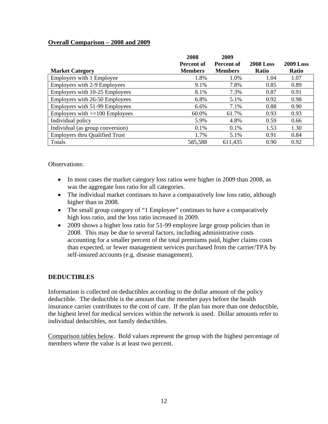# **Overall Comparison – 2008 and 2009**

|                                       | 2008<br>Percent of | 2009<br>Percent of | <b>2008 Loss</b> | 2009 Loss    |
|---------------------------------------|--------------------|--------------------|------------------|--------------|
| <b>Market Category</b>                | <b>Members</b>     | <b>Members</b>     | <b>Ratio</b>     | <b>Ratio</b> |
| Employers with 1 Employee             | 1.8%               | 1.0%               | 1.04             | 1.07         |
| <b>Employers with 2-9 Employees</b>   | 9.1%               | 7.8%               | 0.85             | 0.89         |
| Employers with 10-25 Employees        | 8.1%               | 7.3%               | 0.87             | 0.91         |
| Employers with 26-50 Employees        | 6.8%               | 5.1%               | 0.92             | 0.98         |
| Employers with 51-99 Employees        | 6.6%               | 7.1%               | 0.88             | 0.90         |
| Employers with $>=100$ Employees      | 60.0%              | 61.7%              | 0.93             | 0.93         |
| Individual policy                     | 5.9%               | 4.8%               | 0.59             | 0.66         |
| Individual (as group conversion)      | 0.1%               | 0.1%               | 1.53             | 1.30         |
| <b>Employers thru Qualified Trust</b> | 1.7%               | 5.1%               | 0.91             | 0.84         |
| Totals                                | 585,588            | 611,435            | 0.90             | 0.92         |

Observations:

- In most cases the market category loss ratios were higher in 2009 than 2008, as was the aggregate loss ratio for all categories.
- The individual market continues to have a comparatively low loss ratio, although higher than in 2008.
- The small group category of "1 Employee" continues to have a comparatively high loss ratio, and the loss ratio increased in 2009.
- 2009 shows a higher loss ratio for 51-99 employee large group policies than in 2008. This may be due to several factors, including administrative costs accounting for a smaller percent of the total premiums paid, higher claims costs than expected, or fewer management services purchased from the carrier/TPA by self-insured accounts (e.g. disease management).

# **DEDUCTIBLES**

Information is collected on deductibles according to the dollar amount of the policy deductible. The deductible is the amount that the member pays before the health insurance carrier contributes to the cost of care. If the plan has more than one deductible, the highest level for medical services within the network is used. Dollar amounts refer to individual deductibles, not family deductibles.

Comparison tables below. Bold values represent the group with the highest percentage of members where the value is at least two percent.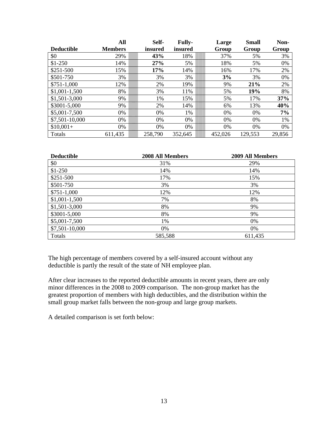|                   | All            | Self-   | <b>Fully-</b> | Large   | <b>Small</b> | Non-   |
|-------------------|----------------|---------|---------------|---------|--------------|--------|
| <b>Deductible</b> | <b>Members</b> | insured | insured       | Group   | Group        | Group  |
| \$0               | 29%            | 43%     | 18%           | 37%     | 5%           | 3%     |
| $$1-250$          | 14%            | 27%     | 5%            | 18%     | 5%           | 0%     |
| \$251-500         | 15%            | 17%     | 14%           | 16%     | 17%          | 2%     |
| \$501-750         | 3%             | 3%      | 3%            | 3%      | 3%           | 0%     |
| $$751-1,000$      | 12%            | 2%      | 19%           | 9%      | 21%          | 2%     |
| $$1,001-1,500$    | 8%             | 3%      | 11%           | 5%      | 19%          | 8%     |
| \$1,501-3,000     | 9%             | 1%      | 15%           | 5%      | 17%          | 37%    |
| \$3001-5,000      | 9%             | 2%      | 14%           | 6%      | 13%          | 40%    |
| \$5,001-7,500     | 0%             | 0%      | 1%            | $0\%$   | 0%           | 7%     |
| \$7,501-10,000    | 0%             | 0%      | 0%            | 0%      | 0%           | 1%     |
| $$10,001+$        | 0%             | 0%      | 0%            | 0%      | 0%           | 0%     |
| Totals            | 611,435        | 258,790 | 352,645       | 452,026 | 129,553      | 29,856 |

| <b>Deductible</b> | <b>2008 All Members</b> | 2009 All Members |
|-------------------|-------------------------|------------------|
| \$0               | 31%                     | 29%              |
| $$1-250$          | 14%                     | 14%              |
| $$251-500$        | 17%                     | 15%              |
| \$501-750         | 3%                      | 3%               |
| $$751-1,000$      | 12%                     | 12%              |
| $$1,001-1,500$    | 7%                      | 8%               |
| $$1,501-3,000$    | 8%                      | 9%               |
| \$3001-5,000      | 8%                      | 9%               |
| \$5,001-7,500     | 1%                      | 0%               |
| \$7,501-10,000    | 0%                      | 0%               |
| Totals            | 585,588                 | 611,435          |

The high percentage of members covered by a self-insured account without any deductible is partly the result of the state of NH employee plan.

After clear increases to the reported deductible amounts in recent years, there are only minor differences in the 2008 to 2009 comparison. The non-group market has the greatest proportion of members with high deductibles, and the distribution within the small group market falls between the non-group and large group markets.

A detailed comparison is set forth below: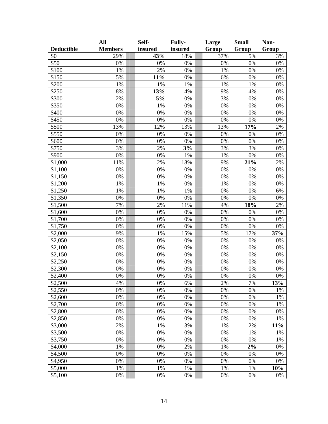|                   | All            | Self-   | Fully-  | Large | <b>Small</b> | Non-  |
|-------------------|----------------|---------|---------|-------|--------------|-------|
| <b>Deductible</b> | <b>Members</b> | insured | insured | Group | Group        | Group |
| \$0               | 29%            | 43%     | 18%     | 37%   | 5%           | 3%    |
| \$50              | 0%             | 0%      | 0%      | 0%    | 0%           | 0%    |
| \$100             | 1%             | 2%      | 0%      | 1%    | 0%           | 0%    |
| \$150             | 5%             | 11%     | 0%      | 6%    | 0%           | 0%    |
| \$200             | 1%             | 1%      | 1%      | 1%    | 1%           | 0%    |
| \$250             | 8%             | 13%     | 4%      | 9%    | 4%           | 0%    |
| \$300             | 2%             | 5%      | 0%      | 3%    | 0%           | 0%    |
| \$350             | $0\%$          | 1%      | 0%      | 0%    | 0%           | 0%    |
| \$400             | 0%             | 0%      | 0%      | 0%    | 0%           | 0%    |
| \$450             | 0%             | 0%      | 0%      | 0%    | 0%           | 0%    |
| \$500             | 13%            | 12%     | 13%     | 13%   | 17%          | 2%    |
| \$550             | 0%             | 0%      | 0%      | 0%    | 0%           | 0%    |
| \$600             | 0%             | 0%      | 0%      | 0%    | 0%           | 0%    |
| \$750             | 3%             | 2%      | 3%      | 3%    | 3%           | 0%    |
| \$900             | 0%             | 0%      | 1%      | 1%    | 0%           | 0%    |
| \$1,000           | 11%            | 2%      | 18%     | 9%    | 21%          | 2%    |
| \$1,100           | 0%             | 0%      | 0%      | 0%    | 0%           | 0%    |
| \$1,150           | 0%             | 0%      | 0%      | 0%    | 0%           | 0%    |
| \$1,200           | 1%             | 1%      | 0%      | 1%    | 0%           | 0%    |
| \$1,250           | 1%             | 1%      | 1%      | 0%    | 0%           | 6%    |
| \$1,350           | 0%             | 0%      | 0%      | 0%    | 0%           | 0%    |
| \$1,500           | 7%             | 2%      | 11%     | 4%    | 18%          | 2%    |
| \$1,600           | 0%             | 0%      | 0%      | 0%    | 0%           | 0%    |
| \$1,700           | 0%             | 0%      | 0%      | 0%    | 0%           | 0%    |
| \$1,750           | 0%             | 0%      | 0%      | 0%    | 0%           | 0%    |
| \$2,000           | 9%             | 1%      | 15%     | 5%    | 17%          | 37%   |
| \$2,050           | 0%             | 0%      | 0%      | 0%    | 0%           | 0%    |
| \$2,100           | 0%             | 0%      | 0%      | 0%    | 0%           | 0%    |
| \$2,150           | 0%             | 0%      | 0%      | 0%    | 0%           | 0%    |
| \$2,250           | 0%             | 0%      | 0%      | 0%    | 0%           | 0%    |
| \$2,300           | 0%             | 0%      | 0%      | 0%    | 0%           | 0%    |
| \$2,400           | 0%             | 0%      | 0%      | 0%    | 0%           | 0%    |
| \$2,500           | 4%             | 0%      | 6%      | 2%    | 7%           | 13%   |
| \$2,550           | 0%             | 0%      | 0%      | 0%    | 0%           | 1%    |
| \$2,600           | 0%             | 0%      | 0%      | 0%    | 0%           | 1%    |
| \$2,700           | 0%             | 0%      | 0%      | 0%    | 0%           | 1%    |
| \$2,800           | 0%             | 0%      | 0%      | 0%    | 0%           | 0%    |
| \$2,850           | 0%             | 0%      | 0%      | 0%    | 0%           | 1%    |
| \$3,000           | 2%             | 1%      | 3%      | 1%    | 2%           | 11%   |
| \$3,500           | 0%             | 0%      | 0%      | 0%    | 1%           | 1%    |
| \$3,750           | 0%             | 0%      | 0%      | 0%    | 0%           | 1%    |
| \$4,000           | 1%             | 0%      | 2%      | 1%    | 2%           | 0%    |
| \$4,500           | 0%             | 0%      | 0%      | 0%    | 0%           | 0%    |
| \$4,950           | 0%             | 0%      | 0%      | 0%    | 0%           | 0%    |
| \$5,000           | 1%             | 1%      | 1%      | 1%    | 1%           | 10%   |
| \$5,100           | 0%             | 0%      | 0%      | 0%    | 0%           | 0%    |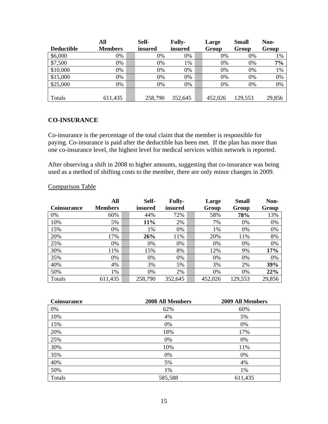|                   | All            | Self-   | <b>Fully-</b> | Large   | <b>Small</b> | Non-   |
|-------------------|----------------|---------|---------------|---------|--------------|--------|
| <b>Deductible</b> | <b>Members</b> | insured | insured       | Group   | Group        | Group  |
| \$6,000           | 0%             | 0%      | 0%            | 0%      | 0%           | 1%     |
| \$7,500           | 0%             | 0%      | 1%            | 0%      | 0%           | 7%     |
| \$10,000          | 0%             | 0%      | 0%            | 0%      | 0%           | 1%     |
| \$15,000          | 0%             | 0%      | 0%            | 0%      | 0%           | 0%     |
| \$25,000          | 0%             | 0%      | 0%            | 0%      | 0%           | 0%     |
|                   |                |         |               |         |              |        |
| Totals            | 611,435        | 258,790 | 352,645       | 452,026 | 129,553      | 29,856 |

#### **CO-INSURANCE**

Co-insurance is the percentage of the total claim that the member is responsible for paying. Co-insurance is paid after the deductible has been met. If the plan has more than one co-insurance level, the highest level for medical services within network is reported.

After observing a shift in 2008 to higher amounts, suggesting that co-insurance was being used as a method of shifting costs to the member, there are only minor changes in 2009.

| Coinsurance | All<br><b>Members</b> | Self-<br>insured | <b>Fully-</b><br>insured | Large<br>Group | Small<br>Group | Non-<br>Group |
|-------------|-----------------------|------------------|--------------------------|----------------|----------------|---------------|
| 0%          | 60%                   | 44%              | 72%                      | 58%            | 78%            | 13%           |
| 10%         | 5%                    | 11%              | 2%                       | 7%             | 0%             | 0%            |
| 15%         | 0%                    | 1%               | 0%                       | 1%             | 0%             | 0%            |
| 20%         | 17%                   | 26%              | 11%                      | 20%            | 11%            | 8%            |
| 25%         | 0%                    | 0%               | 0%                       | 0%             | 0%             | 0%            |
| 30%         | 11%                   | 15%              | 8%                       | 12%            | 9%             | 17%           |
| 35%         | 0%                    | 0%               | 0%                       | 0%             | 0%             | 0%            |
| 40%         | 4%                    | 3%               | 5%                       | 3%             | 2%             | 39%           |
| 50%         | 1%                    | 0%               | 2%                       | 0%             | 0%             | 22%           |
| Totals      | 611,435               | 258,790          | 352,645                  | 452,026        | 129,553        | 29,856        |

### Comparison Table

| <b>Coinsurance</b> | <b>2008 All Members</b> | 2009 All Members |
|--------------------|-------------------------|------------------|
| 0%                 | 62%                     | 60%              |
| 10%                | 4%                      | 5%               |
| 15%                | 0%                      | 0%               |
| 20%                | 18%                     | 17%              |
| 25%                | 0%                      | 0%               |
| 30%                | 10%                     | 11%              |
| 35%                | 0%                      | 0%               |
| 40%                | 5%                      | 4%               |
| 50%                | 1%                      | 1%               |
| Totals             | 585,588                 | 611,435          |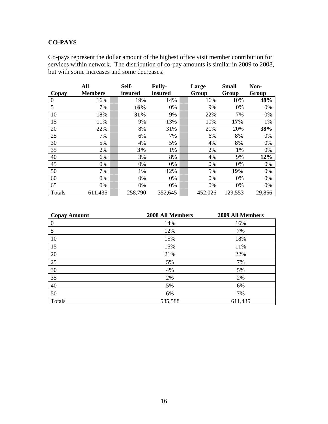# **CO-PAYS**

Co-pays represent the dollar amount of the highest office visit member contribution for services within network. The distribution of co-pay amounts is similar in 2009 to 2008, but with some increases and some decreases.

|          | All            | Self-   | <b>Fully-</b> | Large |         | <b>Small</b> | Non-   |
|----------|----------------|---------|---------------|-------|---------|--------------|--------|
| Copay    | <b>Members</b> | insured | insured       | Group |         | Group        | Group  |
| $\theta$ | 16%            | 19%     | 14%           |       | 16%     | 10%          | 48%    |
| 5        | 7%             | 16%     | 0%            |       | 9%      | 0%           | 0%     |
| 10       | 18%            | 31%     | 9%            |       | 22%     | 7%           | 0%     |
| 15       | 11%            | 9%      | 13%           |       | 10%     | 17%          | 1%     |
| 20       | 22%            | 8%      | 31%           |       | 21%     | 20%          | 38%    |
| 25       | 7%             | 6%      | 7%            |       | 6%      | 8%           | 0%     |
| 30       | 5%             | 4%      | 5%            |       | 4%      | 8%           | 0%     |
| 35       | 2%             | 3%      | 1%            |       | 2%      | 1%           | 0%     |
| 40       | 6%             | 3%      | 8%            |       | 4%      | 9%           | 12%    |
| 45       | 0%             | 0%      | 0%            |       | 0%      | 0%           | 0%     |
| 50       | 7%             | 1%      | 12%           |       | 5%      | 19%          | 0%     |
| 60       | 0%             | 0%      | 0%            |       | 0%      | 0%           | 0%     |
| 65       | 0%             | 0%      | 0%            |       | 0%      | 0%           | 0%     |
| Totals   | 611,435        | 258,790 | 352,645       |       | 452,026 | 129,553      | 29,856 |

| <b>Copay Amount</b> | 2008 All Members | 2009 All Members |
|---------------------|------------------|------------------|
| $\boldsymbol{0}$    | 14%              | 16%              |
| 5                   | 12%              | 7%               |
| 10                  | 15%              | 18%              |
| 15                  | 15%              | 11%              |
| 20                  | 21%              | 22%              |
| 25                  | 5%               | 7%               |
| 30                  | 4%               | 5%               |
| 35                  | 2%               | 2%               |
| 40                  | 5%               | 6%               |
| 50                  | 6%               | 7%               |
| Totals              | 585,588          | 611,435          |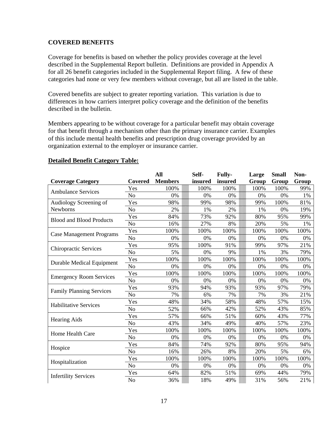### **COVERED BENEFITS**

Coverage for benefits is based on whether the policy provides coverage at the level described in the Supplemental Report bulletin. Definitions are provided in Appendix A for all 26 benefit categories included in the Supplemental Report filing. A few of these categories had none or very few members without coverage, but all are listed in the table.

Covered benefits are subject to greater reporting variation. This variation is due to differences in how carriers interpret policy coverage and the definition of the benefits described in the bulletin.

Members appearing to be without coverage for a particular benefit may obtain coverage for that benefit through a mechanism other than the primary insurance carrier. Examples of this include mental health benefits and prescription drug coverage provided by an organization external to the employer or insurance carrier.

|                                  |                | All            | Self-   | <b>Fully-</b> | Large | <b>Small</b> | Non-  |
|----------------------------------|----------------|----------------|---------|---------------|-------|--------------|-------|
| <b>Coverage Category</b>         | Covered        | <b>Members</b> | insured | insured       | Group | Group        | Group |
| <b>Ambulance Services</b>        | Yes            | 100%           | 100%    | 100%          | 100%  | 100%         | 99%   |
|                                  | N <sub>o</sub> | 0%             | 0%      | 0%            | 0%    | 0%           | 1%    |
| Audiology Screening of           | Yes            | 98%            | 99%     | 98%           | 99%   | 100%         | 81%   |
| Newborns                         | N <sub>o</sub> | 2%             | 1%      | 2%            | 1%    | 0%           | 19%   |
| <b>Blood and Blood Products</b>  | Yes            | 84%            | 73%     | 92%           | 80%   | 95%          | 99%   |
|                                  | N <sub>o</sub> | 16%            | 27%     | 8%            | 20%   | 5%           | 1%    |
|                                  | Yes            | 100%           | 100%    | 100%          | 100%  | 100%         | 100%  |
| <b>Case Management Programs</b>  | N <sub>o</sub> | 0%             | 0%      | 0%            | 0%    | 0%           | 0%    |
|                                  | Yes            | 95%            | 100%    | 91%           | 99%   | 97%          | 21%   |
| <b>Chiropractic Services</b>     | N <sub>o</sub> | 5%             | 0%      | 9%            | 1%    | 3%           | 79%   |
| <b>Durable Medical Equipment</b> | Yes            | 100%           | 100%    | 100%          | 100%  | 100%         | 100%  |
|                                  | N <sub>o</sub> | 0%             | 0%      | 0%            | 0%    | 0%           | 0%    |
| <b>Emergency Room Services</b>   | Yes            | 100%           | 100%    | 100%          | 100%  | 100%         | 100%  |
|                                  | N <sub>o</sub> | 0%             | 0%      | 0%            | 0%    | 0%           | 0%    |
|                                  | Yes            | 93%            | 94%     | 93%           | 93%   | 97%          | 79%   |
| <b>Family Planning Services</b>  | No             | 7%             | 6%      | 7%            | 7%    | 3%           | 21%   |
| <b>Habilitative Services</b>     | Yes            | 48%            | 34%     | 58%           | 48%   | 57%          | 15%   |
|                                  | No             | 52%            | 66%     | 42%           | 52%   | 43%          | 85%   |
|                                  | Yes            | 57%            | 66%     | 51%           | 60%   | 43%          | 77%   |
| <b>Hearing Aids</b>              | No             | 43%            | 34%     | 49%           | 40%   | 57%          | 23%   |
| Home Health Care                 | Yes            | 100%           | 100%    | 100%          | 100%  | 100%         | 100%  |
|                                  | N <sub>o</sub> | 0%             | 0%      | 0%            | 0%    | 0%           | 0%    |
|                                  | Yes            | 84%            | 74%     | 92%           | 80%   | 95%          | 94%   |
| Hospice                          | No             | 16%            | 26%     | 8%            | 20%   | 5%           | 6%    |
|                                  | Yes            | 100%           | 100%    | 100%          | 100%  | 100%         | 100%  |
| Hospitalization                  | No             | 0%             | 0%      | 0%            | 0%    | 0%           | 0%    |
|                                  | Yes            | 64%            | 82%     | 51%           | 69%   | 44%          | 79%   |
| <b>Infertility Services</b>      | N <sub>o</sub> | 36%            | 18%     | 49%           | 31%   | 56%          | 21%   |

#### **Detailed Benefit Category Table:**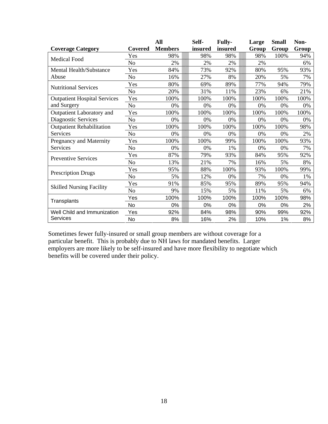|                                     |                | All            | Self-   | <b>Fully-</b> | Large | <b>Small</b> | Non-  |
|-------------------------------------|----------------|----------------|---------|---------------|-------|--------------|-------|
| <b>Coverage Category</b>            | Covered        | <b>Members</b> | insured | insured       | Group | Group        | Group |
| <b>Medical Food</b>                 | Yes            | 98%            | 98%     | 98%           | 98%   | 100%         | 94%   |
|                                     | No             | 2%             | 2%      | 2%            | 2%    |              | 6%    |
| Mental Health/Substance             | Yes            | 84%            | 73%     | 92%           | 80%   | 95%          | 93%   |
| Abuse                               | N <sub>o</sub> | 16%            | 27%     | 8%            | 20%   | 5%           | 7%    |
| <b>Nutritional Services</b>         | Yes            | 80%            | 69%     | 89%           | 77%   | 94%          | 79%   |
|                                     | No             | 20%            | 31%     | 11%           | 23%   | 6%           | 21%   |
| <b>Outpatient Hospital Services</b> | Yes            | 100%           | 100%    | 100%          | 100%  | 100%         | 100%  |
| and Surgery                         | No             | 0%             | 0%      | 0%            | 0%    | 0%           | 0%    |
| Outpatient Laboratory and           | Yes            | 100%           | 100%    | 100%          | 100%  | 100%         | 100%  |
| Diagnostic Services                 | No             | 0%             | 0%      | 0%            | 0%    | 0%           | 0%    |
| <b>Outpatient Rehabilitation</b>    | Yes            | 100%           | 100%    | 100%          | 100%  | 100%         | 98%   |
| Services                            | N <sub>o</sub> | 0%             | 0%      | 0%            | 0%    | 0%           | 2%    |
| Pregnancy and Maternity             | Yes            | 100%           | 100%    | 99%           | 100%  | 100%         | 93%   |
| Services                            | N <sub>o</sub> | 0%             | 0%      | 1%            | 0%    | 0%           | 7%    |
| <b>Preventive Services</b>          | Yes            | 87%            | 79%     | 93%           | 84%   | 95%          | 92%   |
|                                     | No             | 13%            | 21%     | 7%            | 16%   | 5%           | 8%    |
|                                     | Yes            | 95%            | 88%     | 100%          | 93%   | 100%         | 99%   |
| <b>Prescription Drugs</b>           | No             | 5%             | 12%     | 0%            | 7%    | 0%           | 1%    |
|                                     | Yes            | 91%            | 85%     | 95%           | 89%   | 95%          | 94%   |
| <b>Skilled Nursing Facility</b>     | N <sub>o</sub> | 9%             | 15%     | 5%            | 11%   | 5%           | 6%    |
|                                     | Yes            | 100%           | 100%    | 100%          | 100%  | 100%         | 98%   |
| Transplants                         | <b>No</b>      | 0%             | 0%      | 0%            | 0%    | 0%           | 2%    |
| Well Child and Immunization         | Yes            | 92%            | 84%     | 98%           | 90%   | 99%          | 92%   |
| Services                            | No             | 8%             | 16%     | 2%            | 10%   | 1%           | 8%    |

Sometimes fewer fully-insured or small group members are without coverage for a particular benefit. This is probably due to NH laws for mandated benefits. Larger employers are more likely to be self-insured and have more flexibility to negotiate which benefits will be covered under their policy.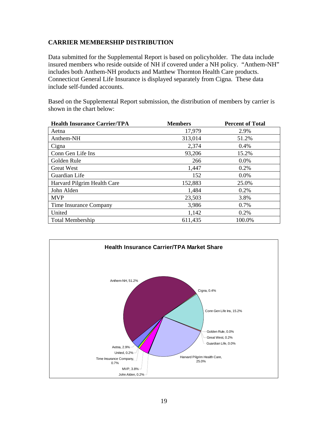# **CARRIER MEMBERSHIP DISTRIBUTION**

Data submitted for the Supplemental Report is based on policyholder. The data include insured members who reside outside of NH if covered under a NH policy. "Anthem-NH" includes both Anthem-NH products and Matthew Thornton Health Care products. Connecticut General Life Insurance is displayed separately from Cigna. These data include self-funded accounts.

Based on the Supplemental Report submission, the distribution of members by carrier is shown in the chart below:

| <b>Health Insurance Carrier/TPA</b> | <b>Members</b> | <b>Percent of Total</b> |
|-------------------------------------|----------------|-------------------------|
| Aetna                               | 17,979         | 2.9%                    |
| Anthem-NH                           | 313,014        | 51.2%                   |
| Cigna                               | 2,374          | 0.4%                    |
| Conn Gen Life Ins                   | 93,206         | 15.2%                   |
| Golden Rule                         | 266            | 0.0%                    |
| <b>Great West</b>                   | 1,447          | 0.2%                    |
| Guardian Life                       | 152            | $0.0\%$                 |
| Harvard Pilgrim Health Care         | 152,883        | 25.0%                   |
| John Alden                          | 1,484          | 0.2%                    |
| <b>MVP</b>                          | 23,503         | 3.8%                    |
| Time Insurance Company              | 3,986          | 0.7%                    |
| United                              | 1,142          | 0.2%                    |
| <b>Total Membership</b>             | 611,435        | 100.0%                  |

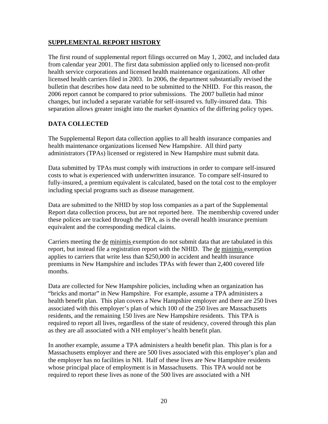### **SUPPLEMENTAL REPORT HISTORY**

The first round of supplemental report filings occurred on May 1, 2002, and included data from calendar year 2001. The first data submission applied only to licensed non-profit health service corporations and licensed health maintenance organizations. All other licensed health carriers filed in 2003. In 2006, the department substantially revised the bulletin that describes how data need to be submitted to the NHID. For this reason, the 2006 report cannot be compared to prior submissions. The 2007 bulletin had minor changes, but included a separate variable for self-insured vs. fully-insured data. This separation allows greater insight into the market dynamics of the differing policy types.

# **DATA COLLECTED**

The Supplemental Report data collection applies to all health insurance companies and health maintenance organizations licensed New Hampshire. All third party administrators (TPAs) licensed or registered in New Hampshire must submit data.

Data submitted by TPAs must comply with instructions in order to compare self-insured costs to what is experienced with underwritten insurance. To compare self-insured to fully-insured, a premium equivalent is calculated, based on the total cost to the employer including special programs such as disease management.

Data are submitted to the NHID by stop loss companies as a part of the Supplemental Report data collection process, but are not reported here. The membership covered under these polices are tracked through the TPA, as is the overall health insurance premium equivalent and the corresponding medical claims.

Carriers meeting the de minimis exemption do not submit data that are tabulated in this report, but instead file a registration report with the NHID. The de minimis exemption applies to carriers that write less than \$250,000 in accident and health insurance premiums in New Hampshire and includes TPAs with fewer than 2,400 covered life months.

Data are collected for New Hampshire policies, including when an organization has "bricks and mortar" in New Hampshire. For example, assume a TPA administers a health benefit plan. This plan covers a New Hampshire employer and there are 250 lives associated with this employer's plan of which 100 of the 250 lives are Massachusetts residents, and the remaining 150 lives are New Hampshire residents. This TPA is required to report all lives, regardless of the state of residency, covered through this plan as they are all associated with a NH employer's health benefit plan.

In another example, assume a TPA administers a health benefit plan. This plan is for a Massachusetts employer and there are 500 lives associated with this employer's plan and the employer has no facilities in NH. Half of these lives are New Hampshire residents whose principal place of employment is in Massachusetts. This TPA would not be required to report these lives as none of the 500 lives are associated with a NH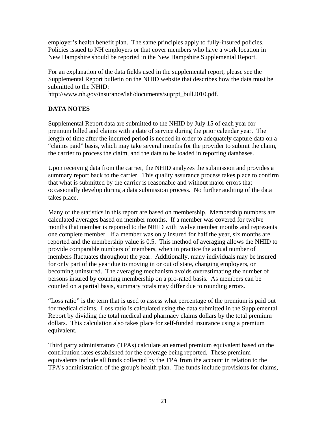employer's health benefit plan. The same principles apply to fully-insured policies. Policies issued to NH employers or that cover members who have a work location in New Hampshire should be reported in the New Hampshire Supplemental Report.

For an explanation of the data fields used in the supplemental report, please see the Supplemental Report bulletin on the NHID website that describes how the data must be submitted to the NHID:

http://www.nh.gov/insurance/lah/documents/suprpt\_bull2010.pdf.

# **DATA NOTES**

Supplemental Report data are submitted to the NHID by July 15 of each year for premium billed and claims with a date of service during the prior calendar year. The length of time after the incurred period is needed in order to adequately capture data on a "claims paid" basis, which may take several months for the provider to submit the claim, the carrier to process the claim, and the data to be loaded in reporting databases.

Upon receiving data from the carrier, the NHID analyzes the submission and provides a summary report back to the carrier. This quality assurance process takes place to confirm that what is submitted by the carrier is reasonable and without major errors that occasionally develop during a data submission process. No further auditing of the data takes place.

Many of the statistics in this report are based on membership. Membership numbers are calculated averages based on member months. If a member was covered for twelve months that member is reported to the NHID with twelve member months and represents one complete member. If a member was only insured for half the year, six months are reported and the membership value is 0.5. This method of averaging allows the NHID to provide comparable numbers of members, when in practice the actual number of members fluctuates throughout the year. Additionally, many individuals may be insured for only part of the year due to moving in or out of state, changing employers, or becoming uninsured. The averaging mechanism avoids overestimating the number of persons insured by counting membership on a pro-rated basis. As members can be counted on a partial basis, summary totals may differ due to rounding errors.

"Loss ratio" is the term that is used to assess what percentage of the premium is paid out for medical claims. Loss ratio is calculated using the data submitted in the Supplemental Report by dividing the total medical and pharmacy claims dollars by the total premium dollars. This calculation also takes place for self-funded insurance using a premium equivalent.

Third party administrators (TPAs) calculate an earned premium equivalent based on the contribution rates established for the coverage being reported. These premium equivalents include all funds collected by the TPA from the account in relation to the TPA's administration of the group's health plan. The funds include provisions for claims,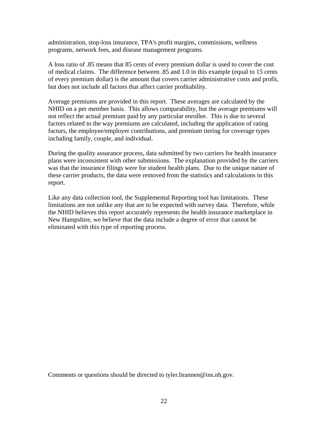administration, stop-loss insurance, TPA's profit margins, commissions, wellness programs, network fees, and disease management programs.

A loss ratio of .85 means that 85 cents of every premium dollar is used to cover the cost of medical claims. The difference between .85 and 1.0 in this example (equal to 15 cents of every premium dollar) is the amount that covers carrier administrative costs and profit, but does not include all factors that affect carrier profitability.

Average premiums are provided in this report. These averages are calculated by the NHID on a per member basis. This allows comparability, but the average premiums will not reflect the actual premium paid by any particular enrollee. This is due to several factors related to the way premiums are calculated, including the application of rating factors, the employee/employer contributions, and premium tiering for coverage types including family, couple, and individual.

During the quality assurance process, data submitted by two carriers for health insurance plans were inconsistent with other submissions. The explanation provided by the carriers was that the insurance filings were for student health plans. Due to the unique nature of these carrier products, the data were removed from the statistics and calculations in this report.

Like any data collection tool, the Supplemental Reporting tool has limitations. These limitations are not unlike any that are to be expected with survey data. Therefore, while the NHID believes this report accurately represents the health insurance marketplace in New Hampshire, we believe that the data include a degree of error that cannot be eliminated with this type of reporting process.

Comments or questions should be directed to tyler.brannen@ins.nh.gov.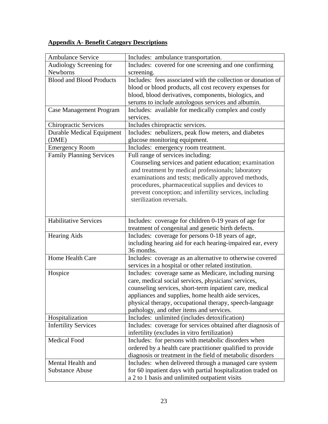# **Appendix A- Benefit Category Descriptions**

| <b>Ambulance Service</b>         | Includes: ambulance transportation.                                                                                                                                                                                                                                                                              |
|----------------------------------|------------------------------------------------------------------------------------------------------------------------------------------------------------------------------------------------------------------------------------------------------------------------------------------------------------------|
| Audiology Screening for          | Includes: covered for one screening and one confirming                                                                                                                                                                                                                                                           |
| Newborns                         | screening.                                                                                                                                                                                                                                                                                                       |
| <b>Blood and Blood Products</b>  | Includes: fees associated with the collection or donation of                                                                                                                                                                                                                                                     |
|                                  | blood or blood products, all cost recovery expenses for                                                                                                                                                                                                                                                          |
|                                  | blood, blood derivatives, components, biologics, and                                                                                                                                                                                                                                                             |
|                                  | serums to include autologous services and albumin.                                                                                                                                                                                                                                                               |
| <b>Case Management Program</b>   | Includes: available for medically complex and costly<br>services.                                                                                                                                                                                                                                                |
| <b>Chiropractic Services</b>     | Includes chiropractic services.                                                                                                                                                                                                                                                                                  |
| <b>Durable Medical Equipment</b> | Includes: nebulizers, peak flow meters, and diabetes                                                                                                                                                                                                                                                             |
| (DME)                            | glucose monitoring equipment.                                                                                                                                                                                                                                                                                    |
| <b>Emergency Room</b>            | Includes: emergency room treatment.                                                                                                                                                                                                                                                                              |
| <b>Family Planning Services</b>  | Full range of services including:                                                                                                                                                                                                                                                                                |
|                                  | Counseling services and patient education; examination<br>and treatment by medical professionals; laboratory<br>examinations and tests; medically approved methods,<br>procedures, pharmaceutical supplies and devices to<br>prevent conception; and infertility services, including<br>sterilization reversals. |
| <b>Habilitative Services</b>     | Includes: coverage for children 0-19 years of age for                                                                                                                                                                                                                                                            |
|                                  | treatment of congenital and genetic birth defects.                                                                                                                                                                                                                                                               |
| <b>Hearing Aids</b>              | Includes: coverage for persons 0-18 years of age,<br>including hearing aid for each hearing-impaired ear, every<br>36 months.                                                                                                                                                                                    |
| Home Health Care                 | Includes: coverage as an alternative to otherwise covered<br>services in a hospital or other related institution.                                                                                                                                                                                                |
| Hospice                          | Includes: coverage same as Medicare, including nursing<br>care, medical social services, physicians' services,<br>counseling services, short-term inpatient care, medical<br>appliances and supplies, home health aide services,<br>physical therapy, occupational therapy, speech-language                      |
|                                  | pathology, and other items and services.                                                                                                                                                                                                                                                                         |
| Hospitalization                  | Includes: unlimited (includes detoxification)                                                                                                                                                                                                                                                                    |
| <b>Infertility Services</b>      | Includes: coverage for services obtained after diagnosis of                                                                                                                                                                                                                                                      |
| <b>Medical Food</b>              | infertility (excludes in vitro fertilization)                                                                                                                                                                                                                                                                    |
|                                  | Includes: for persons with metabolic disorders when                                                                                                                                                                                                                                                              |
|                                  | ordered by a health care practitioner qualified to provide                                                                                                                                                                                                                                                       |
| Mental Health and                | diagnosis or treatment in the field of metabolic disorders                                                                                                                                                                                                                                                       |
| <b>Substance Abuse</b>           | Includes: when delivered through a managed care system<br>for 60 inpatient days with partial hospitalization traded on                                                                                                                                                                                           |